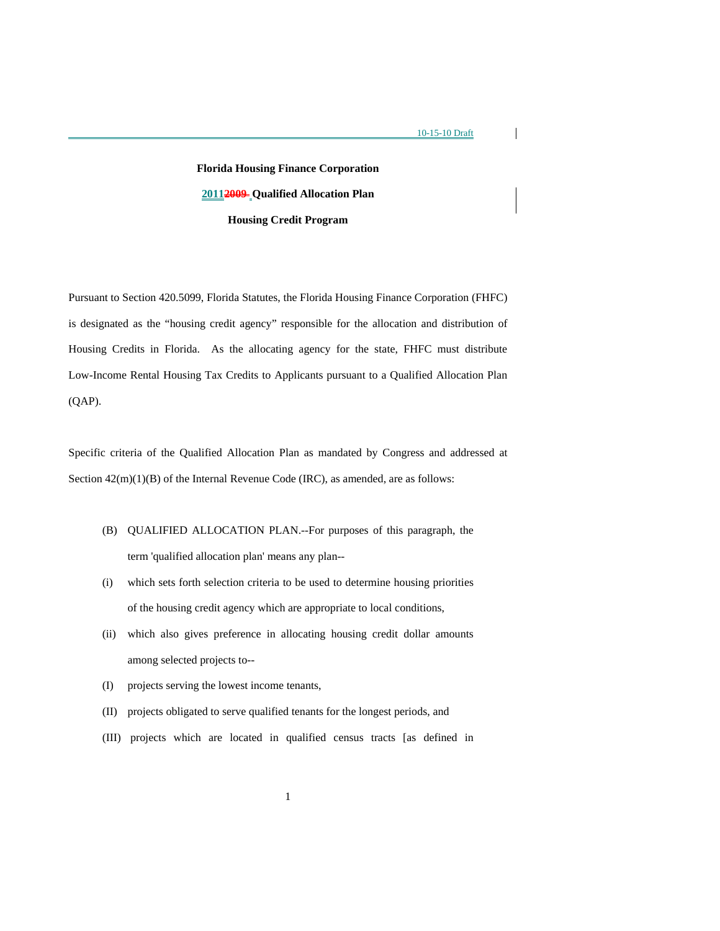$\mathsf{l}$ 

# **Florida Housing Finance Corporation 20112009 Qualified Allocation Plan Housing Credit Program**

Pursuant to Section 420.5099, Florida Statutes, the Florida Housing Finance Corporation (FHFC) is designated as the "housing credit agency" responsible for the allocation and distribution of Housing Credits in Florida. As the allocating agency for the state, FHFC must distribute Low-Income Rental Housing Tax Credits to Applicants pursuant to a Qualified Allocation Plan (QAP).

Specific criteria of the Qualified Allocation Plan as mandated by Congress and addressed at Section  $42(m)(1)(B)$  of the Internal Revenue Code (IRC), as amended, are as follows:

- (B) QUALIFIED ALLOCATION PLAN.--For purposes of this paragraph, the term 'qualified allocation plan' means any plan--
- (i) which sets forth selection criteria to be used to determine housing priorities of the housing credit agency which are appropriate to local conditions,
- (ii) which also gives preference in allocating housing credit dollar amounts among selected projects to--
- (I) projects serving the lowest income tenants,
- (II) projects obligated to serve qualified tenants for the longest periods, and
- (III) projects which are located in qualified census tracts [as defined in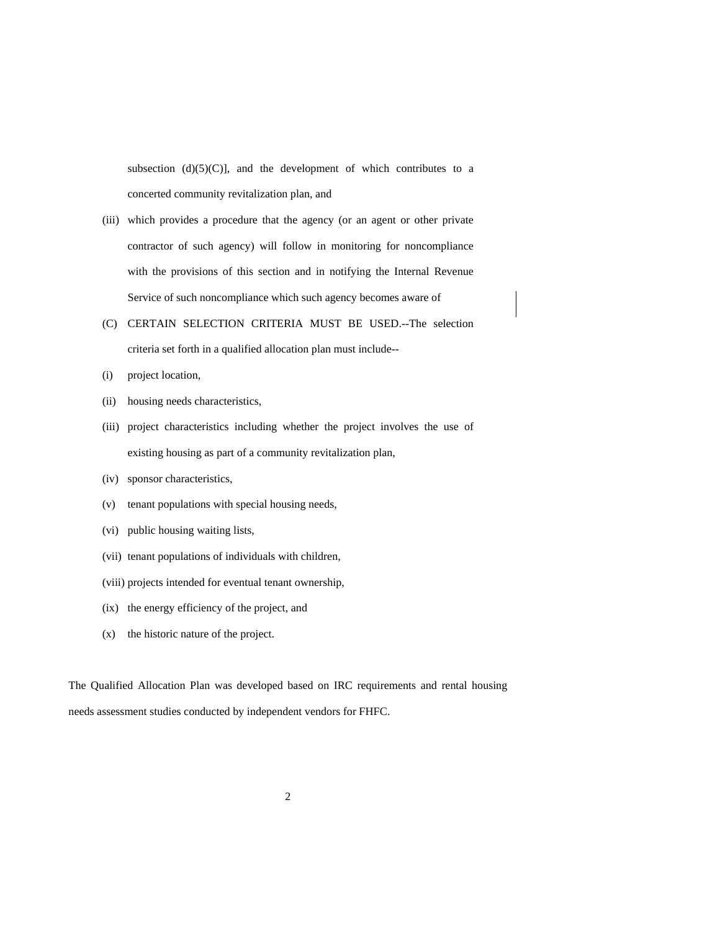subsection  $(d)(5)(C)$ ], and the development of which contributes to a concerted community revitalization plan, and

- (iii) which provides a procedure that the agency (or an agent or other private contractor of such agency) will follow in monitoring for noncompliance with the provisions of this section and in notifying the Internal Revenue Service of such noncompliance which such agency becomes aware of
- (C) CERTAIN SELECTION CRITERIA MUST BE USED.--The selection criteria set forth in a qualified allocation plan must include--
- (i) project location,
- (ii) housing needs characteristics,
- (iii) project characteristics including whether the project involves the use of existing housing as part of a community revitalization plan,
- (iv) sponsor characteristics,
- (v) tenant populations with special housing needs,
- (vi) public housing waiting lists,
- (vii) tenant populations of individuals with children,
- (viii) projects intended for eventual tenant ownership,
- (ix) the energy efficiency of the project, and
- (x) the historic nature of the project.

The Qualified Allocation Plan was developed based on IRC requirements and rental housing needs assessment studies conducted by independent vendors for FHFC.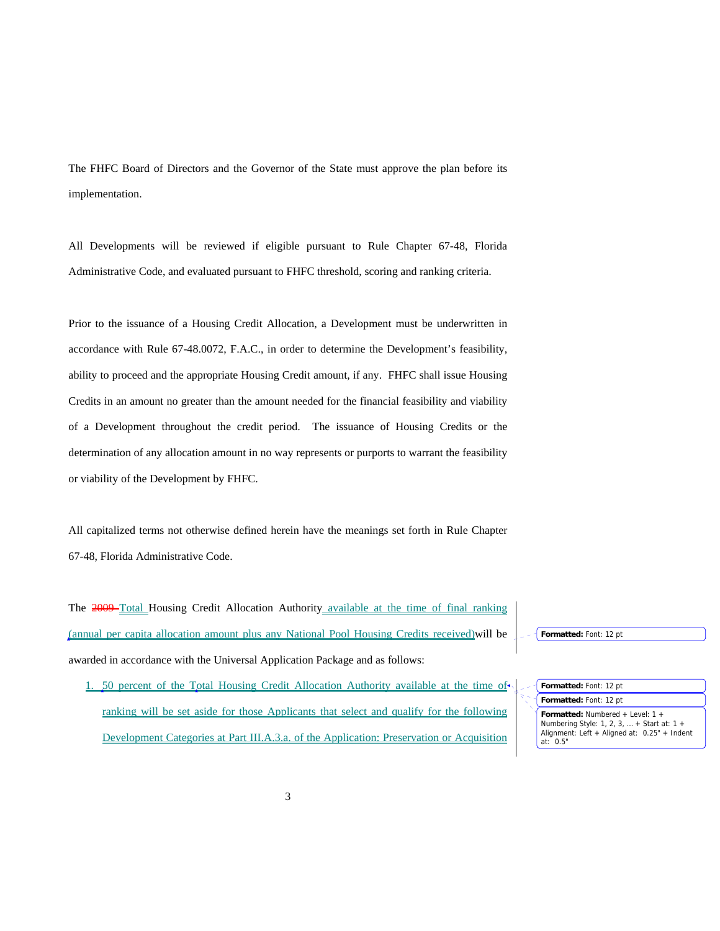The FHFC Board of Directors and the Governor of the State must approve the plan before its implementation.

All Developments will be reviewed if eligible pursuant to Rule Chapter 67-48, Florida Administrative Code, and evaluated pursuant to FHFC threshold, scoring and ranking criteria.

Prior to the issuance of a Housing Credit Allocation, a Development must be underwritten in accordance with Rule 67-48.0072, F.A.C., in order to determine the Development's feasibility, ability to proceed and the appropriate Housing Credit amount, if any. FHFC shall issue Housing Credits in an amount no greater than the amount needed for the financial feasibility and viability of a Development throughout the credit period. The issuance of Housing Credits or the determination of any allocation amount in no way represents or purports to warrant the feasibility or viability of the Development by FHFC.

All capitalized terms not otherwise defined herein have the meanings set forth in Rule Chapter 67-48, Florida Administrative Code.

The 2009–Total Housing Credit Allocation Authority available at the time of final ranking (annual per capita allocation amount plus any National Pool Housing Credits received)will be awarded in accordance with the Universal Application Package and as follows:

1. 50 percent of the Total Housing Credit Allocation Authority available at the time of ranking will be set aside for those Applicants that select and qualify for the following Development Categories at Part III.A.3.a. of the Application: Preservation or Acquisition

**Formatted:** Font: 12 pt

**Formatted:** Font: 12 pt

 $at: 0.5"$ 

**Formatted:** Numbered + Level: 1 + Numbering Style: 1, 2, 3, … + Start at: 1 + Alignment: Left + Aligned at: 0.25" + Indent **Formatted:** Font: 12 pt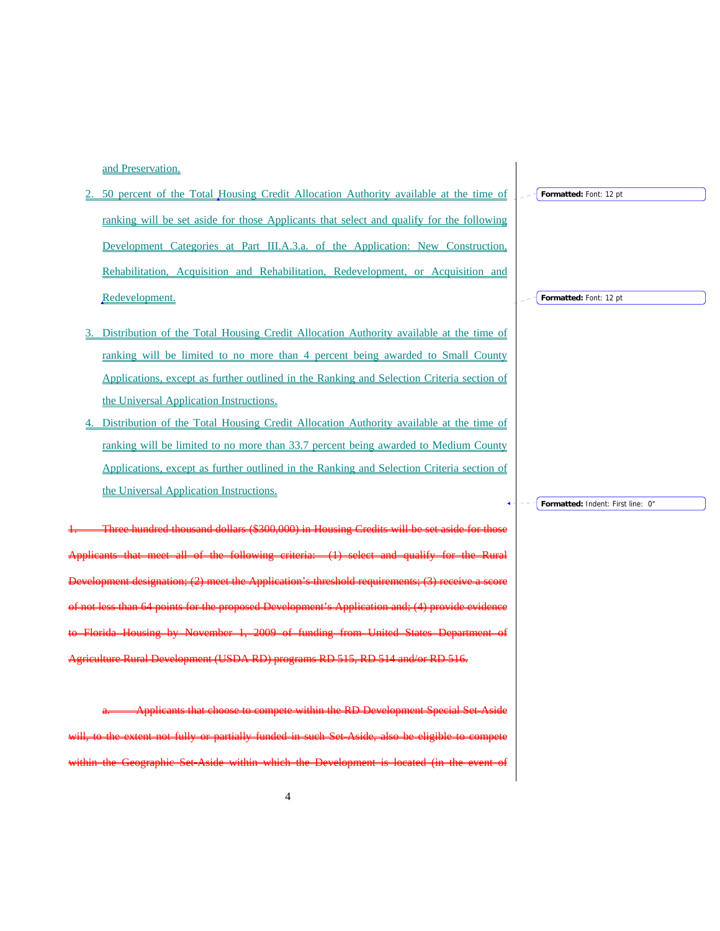and Preservation.

- 2. 50 percent of the Total Housing Credit Allocation Authority available at the time of ranking will be set aside for those Applicants that select and qualify for the following Development Categories at Part III.A.3.a. of the Application: New Construction, Rehabilitation, Acquisition and Rehabilitation, Redevelopment, or Acquisition and Redevelopment.
- 3. Distribution of the Total Housing Credit Allocation Authority available at the time of ranking will be limited to no more than 4 percent being awarded to Small County Applications, except as further outlined in the Ranking and Selection Criteria section of the Universal Application Instructions.
- 4. Distribution of the Total Housing Credit Allocation Authority available at the time of ranking will be limited to no more than 33.7 percent being awarded to Medium County Applications, except as further outlined in the Ranking and Selection Criteria section of the Universal Application Instructions.

1. Three hundred thousand dollars (\$300,000) in Housing Credits will be set aside for those Applicants that meet all of the following criteria: (1) select and qualify for the Rural Development designation; (2) meet the Application's threshold requirements; (3) receive a score of not less than 64 points for the proposed Development's Application and; (4) provide evidence to Florida Housing by November 1, 2009 of funding from United States Department of rel Development (USDA RD) programs RD 515, RD 514

a. Applicants that choose to compete within the RD Development Special Set-Aside will, to the extent not fully or partially funded in such Set-Aside, also be eligible to compete within the Geographic Set-Aside within which the Development is located (in the event of

**Formatted:** Font: 12 pt

**Formatted:** Font: 12 pt

**Formatted:** Indent: First line: 0"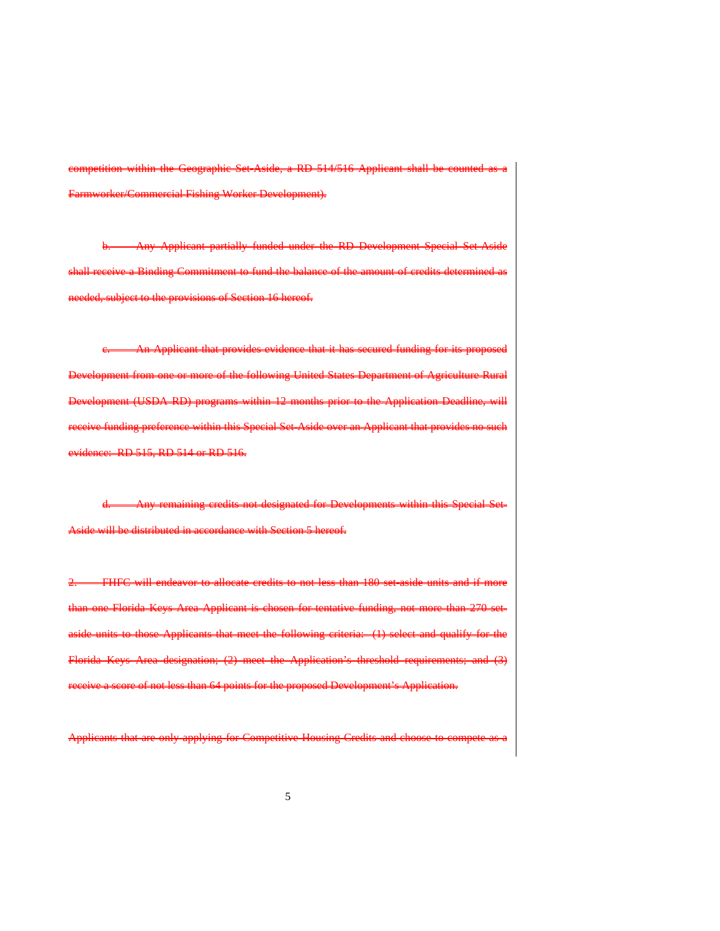competition within the Geographic Set-Aside, a RD 514/516 Applicant shall be counted as a Farmworker/Commercial Fishing Worker Development).

rtially funded under the RD Devel shall receive a Binding Commitment to fund the balance of the amount of credits determined as needed, subject to the provisions of Section 16 hereof.

An Applicant that provides evidence that it has secured funding for its proposed Development from one or more of the following United States Department of Agriculture Rural Development (USDA RD) programs within 12 months prior to the Application Deadline, will receive funding preference within this Special Set-Aside over an Applicant that provides no such evidence: RD 515, RD 514 or RD 516.

Any remaining credits not designated for Developments within this side will be distributed in accordance with Section 5 hereof.

2. FHFC will endeavor to allocate credits to not less than 180 setthan one Florida Keys Area Applicant is chosen for tentative funding, not more than 270 units to those Applicants that meet the following criteria: (1) select and qualify Florida Keys Area designation; (2) meet the Application's threshold requirements; and (3) eive a seore of not less than 64 points for the proposed Development's Application.

Applicants that are only applying for Competitive Housing Credits and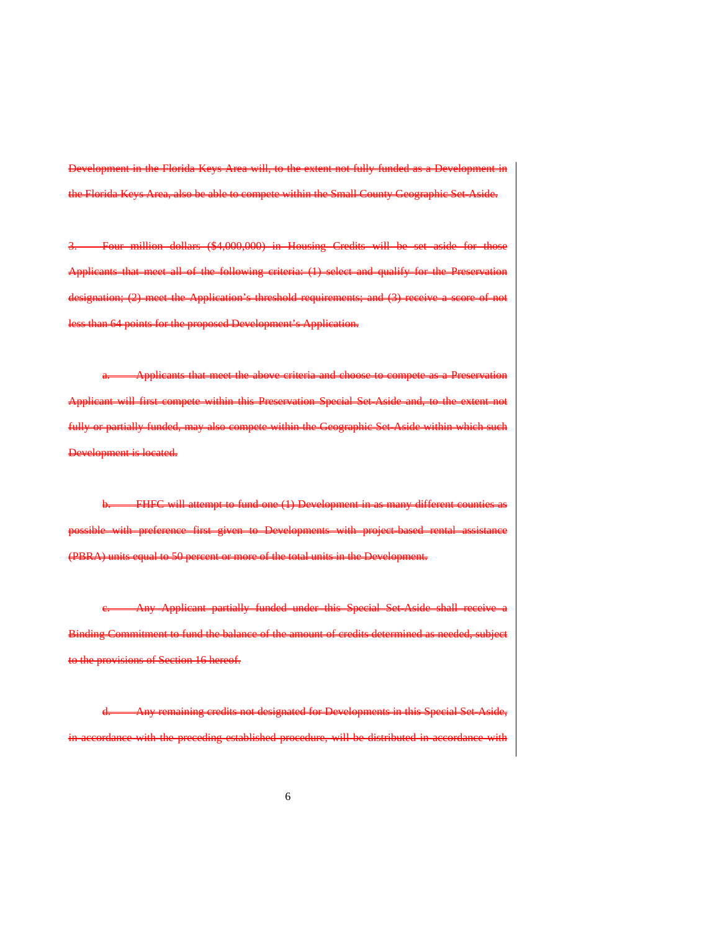Development in the Florida Keys Area will, to the extent not fully funded as a Development in the Florida Keys Area, also be able to compete within the Small County Geographic Set-Aside.

million dollars (\$4,000,000) in Housing Credits will be Applicants that meet all of the following criteria: (1) select and qualify for the Preservation designation; (2) meet the Application's threshold requirements; and (3) receive a than 64 points for the proposed Development's Application.

Applicants that meet the above criteria and choose to compete as a Preservation Applicant will first compete within this Preservation Special Setfully or partially funded, may also compete within the Geographic Set-Asi Development is located.

FHFC will attempt to fund one (1) Development in as many different counties as sible with preference first given to Developments with project-based rental assistar (PBRA) units equal to 50 percent or more of the total units in the Development.

Any Applicant partially funded under this Special Set-Aside shall receive Binding Commitment to fund the balance of the amount of credit to the provisions of Section 16 hereof.

in this Special Set-Aside, accordance with the preceding established procedure, will be distributed in accordance with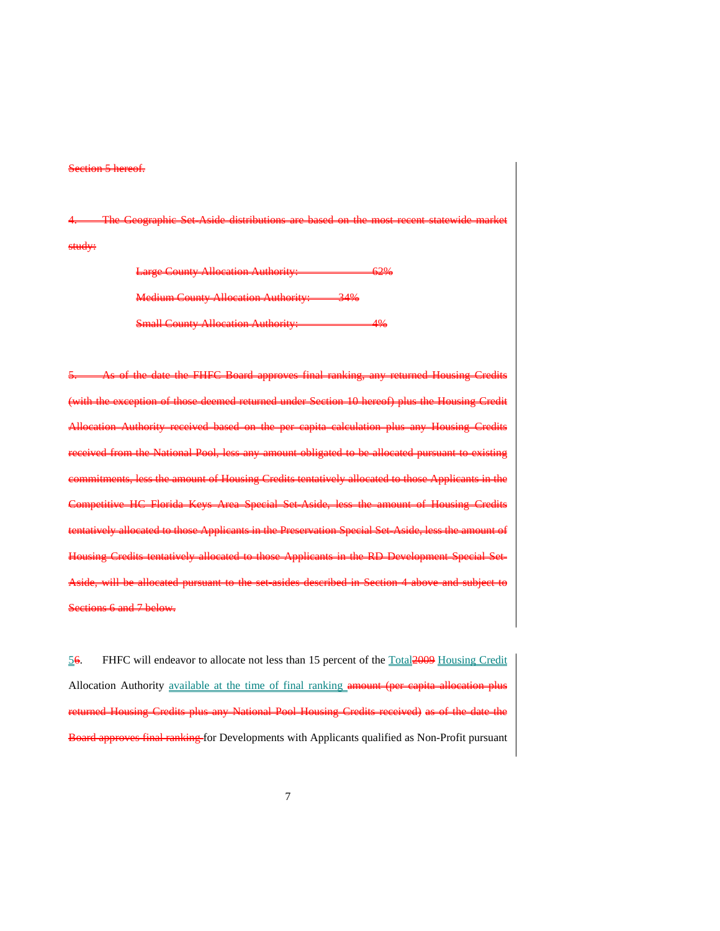## etion 5 hereof.

4. The Geographic Set-Aside distributions are based on the most recent statewide market study:

> Large County Allocation Authority: 62% **County Allocation Authority:** 34% Allocation Auth

of the date the FHFC Board (with the exception of those deemed returned under Section 10 hereof) plus the Housing Credit <u>-eapita calculation</u> National Pool, less any amount obligated to commitments, less the amount of Housing Credits tentatively allocated to those Applicants in the Competitive HC Florida Keys Area Special Set-Aside, less the amount of Housing Credits tuely allocated to those Applicants in the Preservation Special Set-Aside Housing Credits tentatively allocated to those Applicants in the RD Development Special Setwill be allocated pursuant to tions 6 and 7 below.

56. FHFC will endeavor to allocate not less than 15 percent of the Total2009 Housing Credit Allocation Authority available at the time of final ranking amount (per capita allocation plus d Housing Credits plus any National Pool Housing Credits received) as of the date the rd approves final ranking for Developments with Applicants qualified as Non-Profit pursuant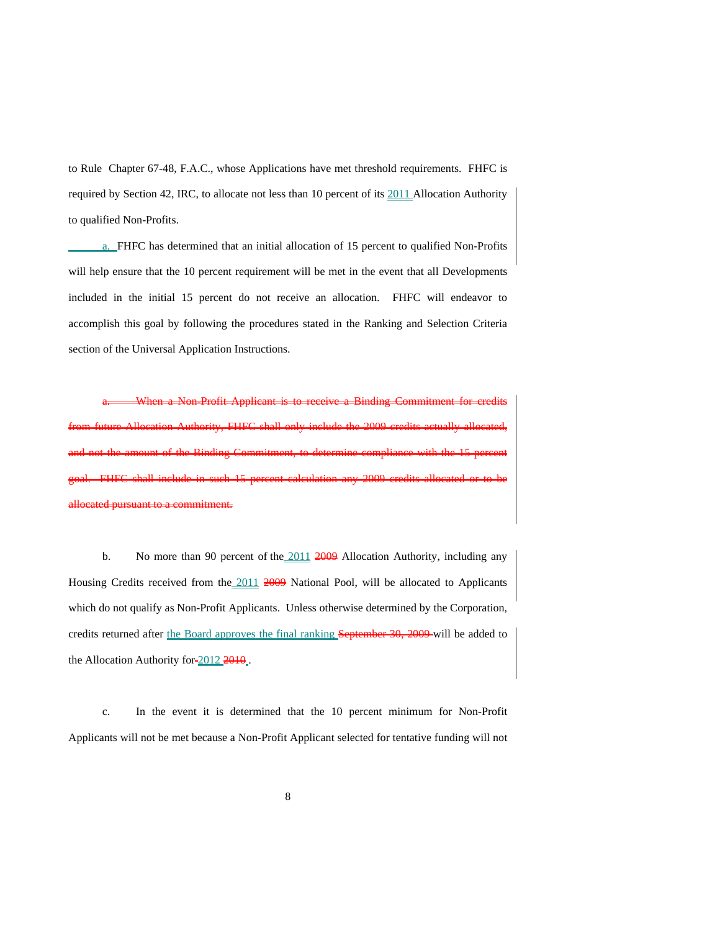to Rule Chapter 67-48, F.A.C., whose Applications have met threshold requirements. FHFC is required by Section 42, IRC, to allocate not less than 10 percent of its 2011 Allocation Authority to qualified Non-Profits.

a. FHFC has determined that an initial allocation of 15 percent to qualified Non-Profits will help ensure that the 10 percent requirement will be met in the event that all Developments included in the initial 15 percent do not receive an allocation. FHFC will endeavor to accomplish this goal by following the procedures stated in the Ranking and Selection Criteria section of the Universal Application Instructions.

a. When a Non-Profit Applicant is to receive a Binding Commitment for credits from future Allocation Authority, FHFC shall only include the 2009 credits actually allocated, and not the amount of the Binding Commitment, to determine compliance with the 15 percent goal. FHFC shall include in such 15 percent calculation any 2009 credits allocated or to be allocated pursuant to a commitment.

b. No more than 90 percent of the  $\frac{2011}{2009}$  Allocation Authority, including any Housing Credits received from the 2011 2009 National Pool, will be allocated to Applicants which do not qualify as Non-Profit Applicants. Unless otherwise determined by the Corporation, credits returned after the Board approves the final ranking September 30, 2009 will be added to the Allocation Authority for  $\frac{2012}{2010}$ .

c. In the event it is determined that the 10 percent minimum for Non-Profit Applicants will not be met because a Non-Profit Applicant selected for tentative funding will not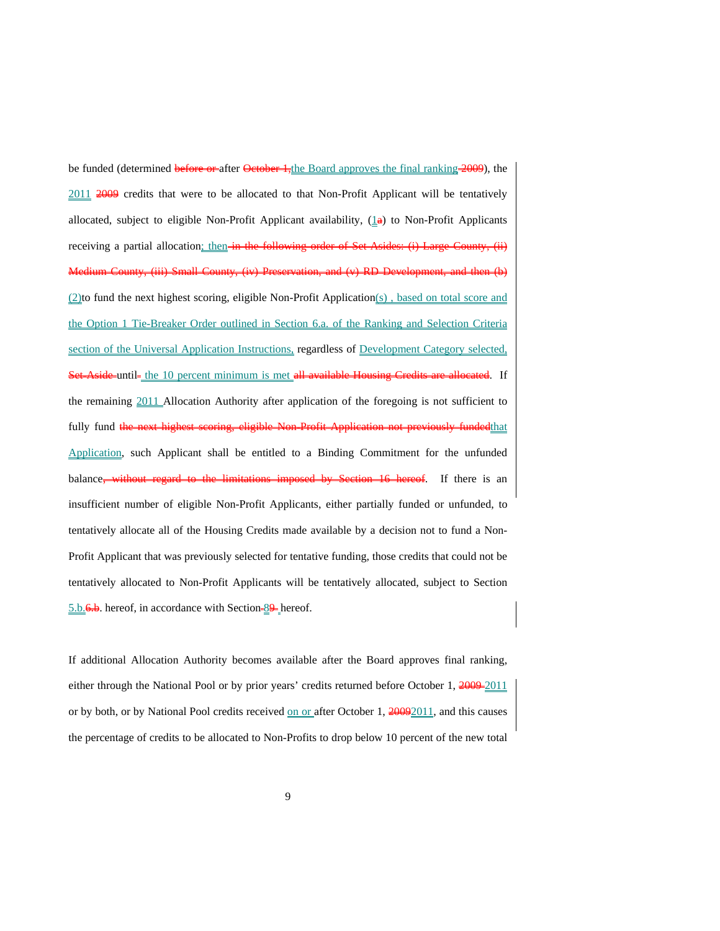be funded (determined before or after October 1, the Board approves the final ranking 2009), the 2011 2009 credits that were to be allocated to that Non-Profit Applicant will be tentatively allocated, subject to eligible Non-Profit Applicant availability,  $(\perp \bullet)$  to Non-Profit Applicants receiving a partial allocation; then-in the Small County, (iv) Preservation, and (v) RD Development, and then (b) (2)to fund the next highest scoring, eligible Non-Profit Application(s) , based on total score and the Option 1 Tie-Breaker Order outlined in Section 6.a. of the Ranking and Selection Criteria section of the Universal Application Instructions, regardless of Development Category selected, Set-Aside-until- the 10 percent minimum is met all available Housing Credits are allocated. If the remaining 2011 Allocation Authority after application of the foregoing is not sufficient to fully fund the next highest scoring, eligible Non Profit Application not previously fundedthat Application, such Applicant shall be entitled to a Binding Commitment for the unfunded balance<del>, without regard to the limitations imposed by Section 16 hereof</del>. If there is an insufficient number of eligible Non-Profit Applicants, either partially funded or unfunded, to tentatively allocate all of the Housing Credits made available by a decision not to fund a Non-Profit Applicant that was previously selected for tentative funding, those credits that could not be tentatively allocated to Non-Profit Applicants will be tentatively allocated, subject to Section 5.b. 6.b. hereof, in accordance with Section 89 hereof.

If additional Allocation Authority becomes available after the Board approves final ranking, either through the National Pool or by prior years' credits returned before October 1, 2009-2011 or by both, or by National Pool credits received on or after October 1, 20092011, and this causes the percentage of credits to be allocated to Non-Profits to drop below 10 percent of the new total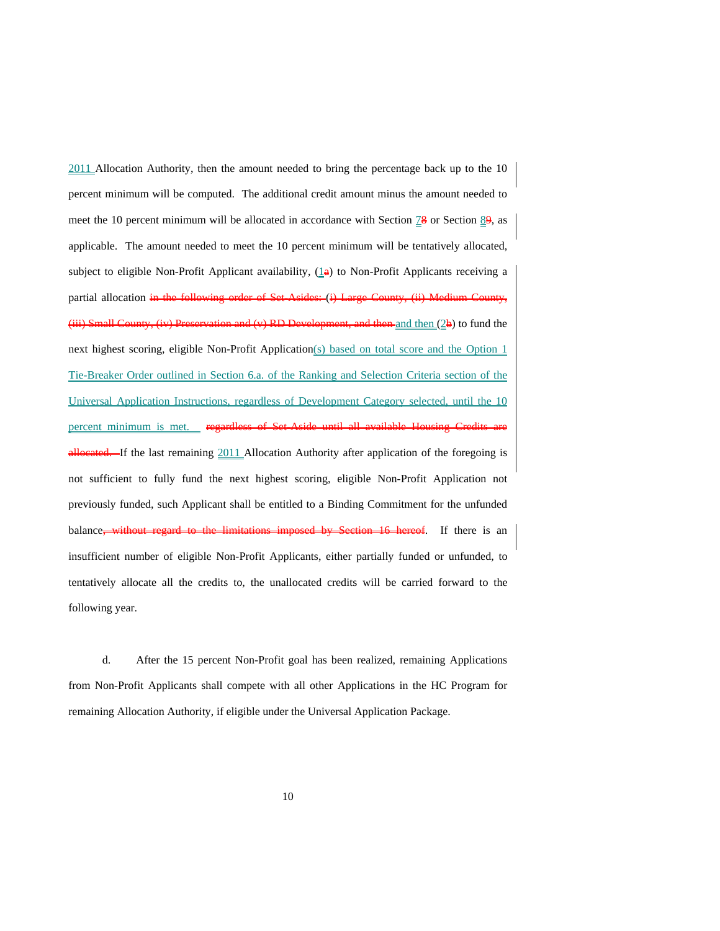2011 Allocation Authority, then the amount needed to bring the percentage back up to the 10 percent minimum will be computed. The additional credit amount minus the amount needed to meet the 10 percent minimum will be allocated in accordance with Section  $\frac{1}{8}$  or Section  $\frac{8}{9}$ , as applicable. The amount needed to meet the 10 percent minimum will be tentatively allocated, subject to eligible Non-Profit Applicant availability,  $(1\text{e})$  to Non-Profit Applicants receiving a partial allocation in the following order of Set-Asides: (i) Large County ment, and then and then (2b) to fund the next highest scoring, eligible Non-Profit Application(s) based on total score and the Option 1 Tie-Breaker Order outlined in Section 6.a. of the Ranking and Selection Criteria section of the Universal Application Instructions, regardless of Development Category selected, until the 10 percent minimum is met. eated. If the last remaining 2011 Allocation Authority after application of the foregoing is not sufficient to fully fund the next highest scoring, eligible Non-Profit Application not previously funded, such Applicant shall be entitled to a Binding Commitment for the unfunded balance, without regard to the limitations imposed by Section 16 hereof. If there is an insufficient number of eligible Non-Profit Applicants, either partially funded or unfunded, to tentatively allocate all the credits to, the unallocated credits will be carried forward to the following year.

d. After the 15 percent Non-Profit goal has been realized, remaining Applications from Non-Profit Applicants shall compete with all other Applications in the HC Program for remaining Allocation Authority, if eligible under the Universal Application Package.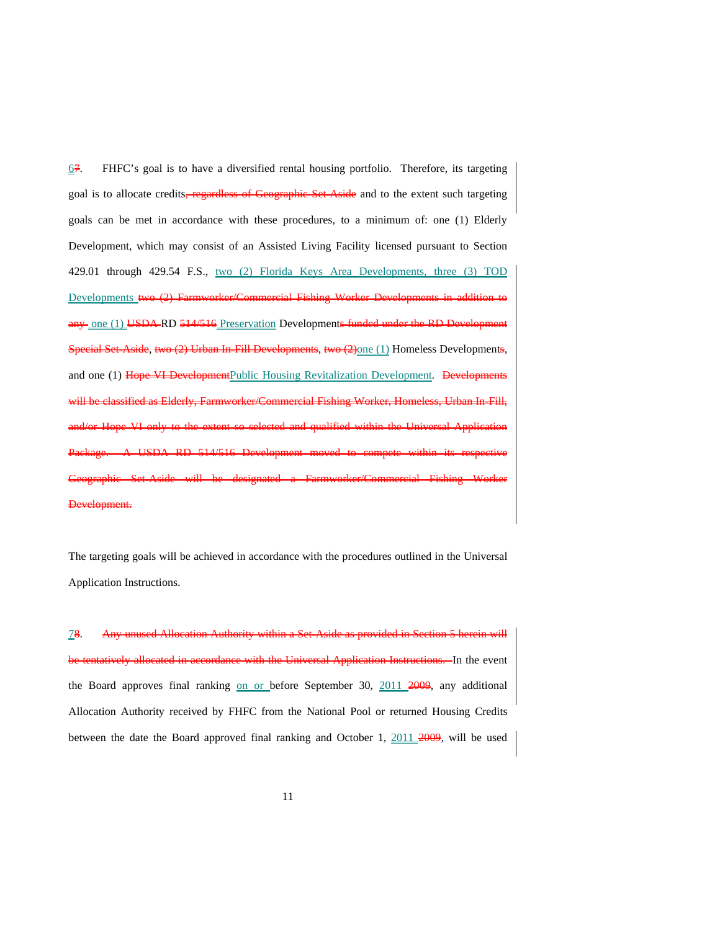$\underline{67}$ . FHFC's goal is to have a diversified rental housing portfolio. Therefore, its targeting goal is to allocate credits, regardless of Geographic Set Aside and to the extent such targeting goals can be met in accordance with these procedures, to a minimum of: one (1) Elderly Development, which may consist of an Assisted Living Facility licensed pursuant to Section 429.01 through 429.54 F.S., two (2) Florida Keys Area Developments, three (3) TOD Developments two (2) Farmworker/Commercial Fishing Worker Developments in additional any one (1) USDA RD 514/516 Preservation Developments funded under the RD De al Set-Aside, two (2) Urban In-Fill Developments, two (2) one (1) Homeless Developments, and one (1) Hope VI DevelopmentPublic Housing Revitalization Development. Developments wereial Fishing Worker, Homeless, Urban In-Fill,  $\frac{a_1}{b_2}$  and  $\frac{b_1}{c_2}$  and  $\frac{c_1}{d_2}$  and  $\frac{c_1}{d_2}$  and  $\frac{c_1}{d_2}$  and  $\frac{d_1}{d_2}$ Package. A USDA RD 514/516 Development moved to compete within its respective Farmworker/Commercial Fishi Development.

The targeting goals will be achieved in accordance with the procedures outlined in the Universal Application Instructions.

78. Any unused Allocation Authority within a Set-Aside as provided in Section 5 herein will accordance with the Universal Application Instructions. In the event the Board approves final ranking on or before September 30, 2011 2009, any additional Allocation Authority received by FHFC from the National Pool or returned Housing Credits between the date the Board approved final ranking and October 1,  $\frac{2011}{4009}$ , will be used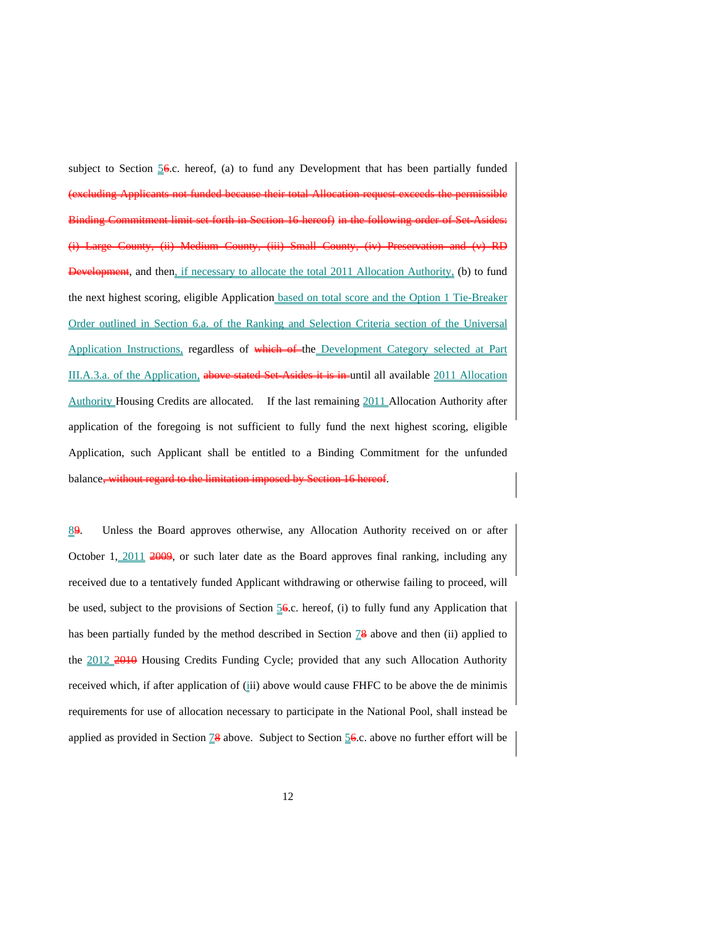subject to Section  $56$ .c. hereof, (a) to fund any Development that has been partially funded (excluding Applicants not funded because their total Allocation request exceeds the permissible Binding Commitment limit set forth in Section 16 hereof) in the following order of Set-Asides: (i) Large County, (ii) Medium County, (iii) Small County, (iv) Preservation and (v) RD **elopment**, and then<u>, if necessary to allocate the total 2011 Allocation Authority,</u> (b) to fund the next highest scoring, eligible Application based on total score and the Option 1 Tie-Breaker Order outlined in Section 6.a. of the Ranking and Selection Criteria section of the Universal Application Instructions, regardless of which of the Development Category selected at Part III.A.3.a. of the Application, above stated Set-Asides it is in until all available 2011 Allocation Authority Housing Credits are allocated. If the last remaining 2011 Allocation Authority after application of the foregoing is not sufficient to fully fund the next highest scoring, eligible Application, such Applicant shall be entitled to a Binding Commitment for the unfunded balance<del>, wit</del>

89. Unless the Board approves otherwise, any Allocation Authority received on or after October 1,  $\frac{2011}{2009}$ , or such later date as the Board approves final ranking, including any received due to a tentatively funded Applicant withdrawing or otherwise failing to proceed, will be used, subject to the provisions of Section 56.c. hereof, (i) to fully fund any Application that has been partially funded by the method described in Section  $\mathbb{Z}^2$  above and then (ii) applied to the 2012 2010 Housing Credits Funding Cycle; provided that any such Allocation Authority received which, if after application of (iii) above would cause FHFC to be above the de minimis requirements for use of allocation necessary to participate in the National Pool, shall instead be applied as provided in Section  $\frac{78}{8}$  above. Subject to Section  $\frac{56}{8}$ .c. above no further effort will be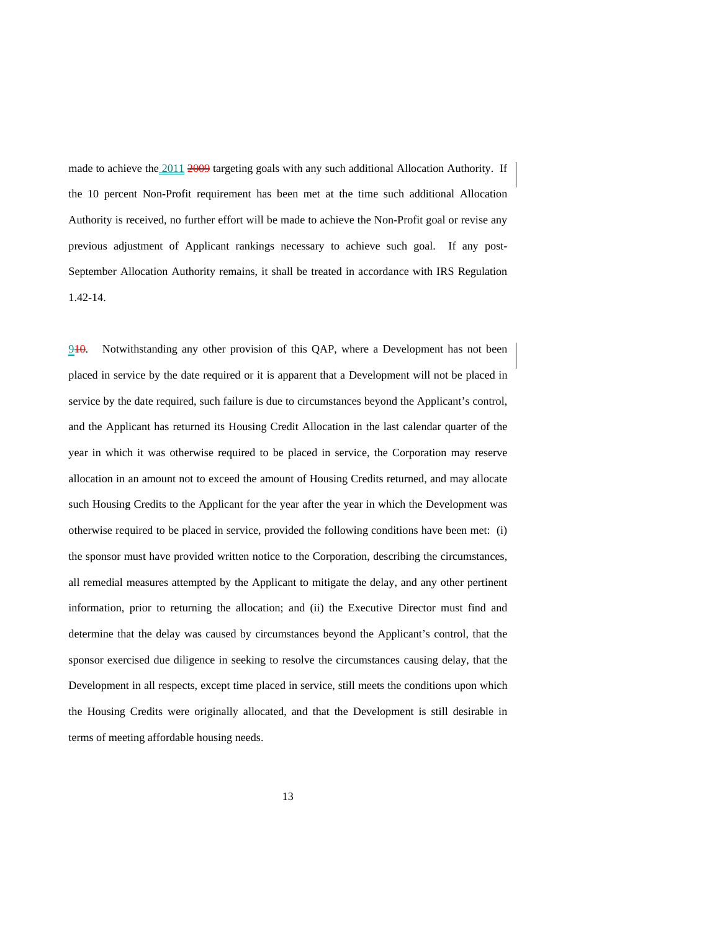made to achieve the 2011 2009 targeting goals with any such additional Allocation Authority. If the 10 percent Non-Profit requirement has been met at the time such additional Allocation Authority is received, no further effort will be made to achieve the Non-Profit goal or revise any previous adjustment of Applicant rankings necessary to achieve such goal. If any post-September Allocation Authority remains, it shall be treated in accordance with IRS Regulation 1.42-14.

 $910$ . Notwithstanding any other provision of this QAP, where a Development has not been placed in service by the date required or it is apparent that a Development will not be placed in service by the date required, such failure is due to circumstances beyond the Applicant's control, and the Applicant has returned its Housing Credit Allocation in the last calendar quarter of the year in which it was otherwise required to be placed in service, the Corporation may reserve allocation in an amount not to exceed the amount of Housing Credits returned, and may allocate such Housing Credits to the Applicant for the year after the year in which the Development was otherwise required to be placed in service, provided the following conditions have been met: (i) the sponsor must have provided written notice to the Corporation, describing the circumstances, all remedial measures attempted by the Applicant to mitigate the delay, and any other pertinent information, prior to returning the allocation; and (ii) the Executive Director must find and determine that the delay was caused by circumstances beyond the Applicant's control, that the sponsor exercised due diligence in seeking to resolve the circumstances causing delay, that the Development in all respects, except time placed in service, still meets the conditions upon which the Housing Credits were originally allocated, and that the Development is still desirable in terms of meeting affordable housing needs.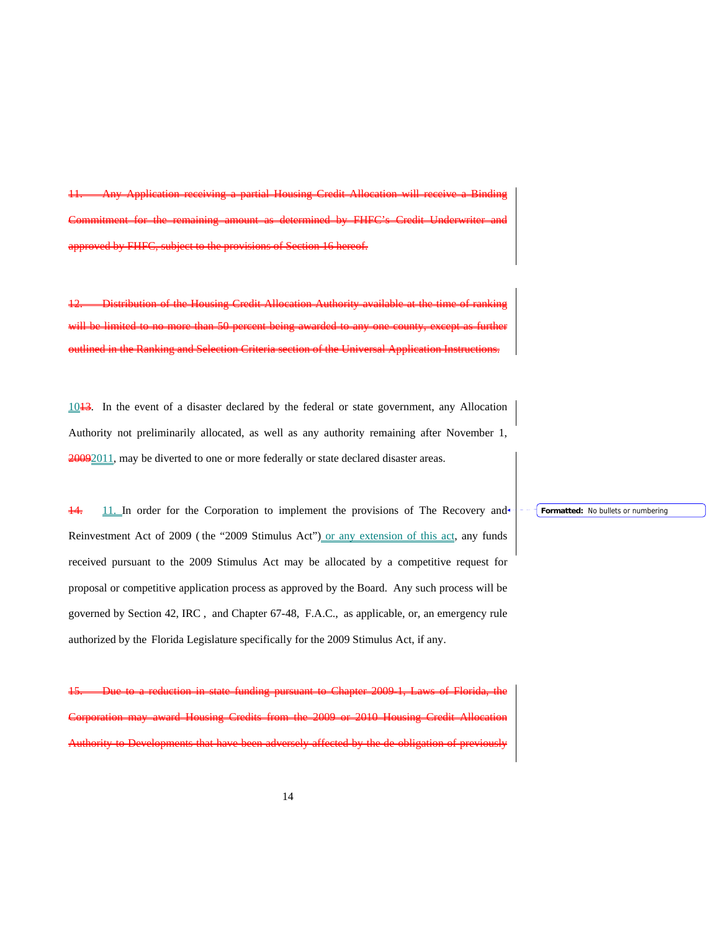11. Any Application receiving a partial Housing Credit Allocation will receive a Binding Commitment for the remaining amount as determined by FHFC's Credit Underwriter and approved by FHFC, subject to the provisions of Section 16 hereof.

12. Distribution of the Housing Credit Allocation Authority available at the time of ranking will be limited to no more than 50 percent being awarded to any one county, except as further outlined in the Ranking and Selection Criteria section of the Universal Application Instructions.

 $1013$ . In the event of a disaster declared by the federal or state government, any Allocation Authority not preliminarily allocated, as well as any authority remaining after November 1, 20092011, may be diverted to one or more federally or state declared disaster areas.

 $\frac{11}{11}$  In order for the Corporation to implement the provisions of The Recovery and Reinvestment Act of 2009 (the "2009 Stimulus Act") or any extension of this act, any funds received pursuant to the 2009 Stimulus Act may be allocated by a competitive request for proposal or competitive application process as approved by the Board. Any such process will be governed by Section 42, IRC , and Chapter 67-48, F.A.C., as applicable, or, an emergency rule authorized by the Florida Legislature specifically for the 2009 Stimulus Act, if any.

15. Due to a reduction in state funding pursuant to Chapter 2009-1, Laws of Florida, the Corporation may award Housing Credits from the 2009 or 2010 Housing Credit Allocation Authority to Developments that have been adversely affected by the de-obligation of previously

#### **Formatted:** No bullets or numbering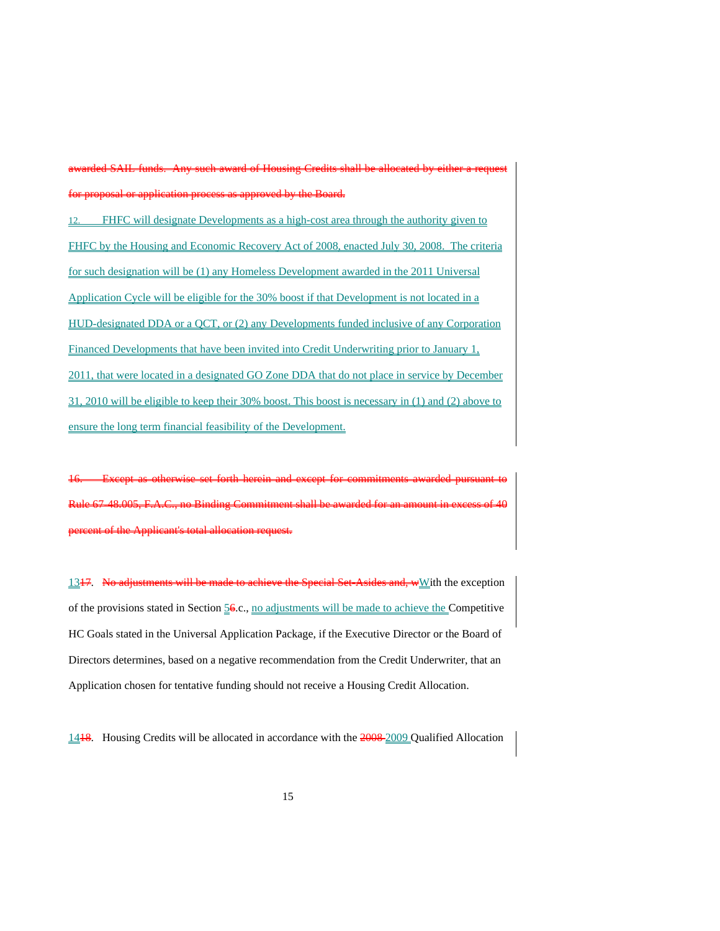awarded SAIL funds. Any such award of Housing Credits shall be allocated by either a request for proposal or application process as approved by the Board.

12. FHFC will designate Developments as a high-cost area through the authority given to FHFC by the Housing and Economic Recovery Act of 2008, enacted July 30, 2008. The criteria for such designation will be (1) any Homeless Development awarded in the 2011 Universal Application Cycle will be eligible for the 30% boost if that Development is not located in a HUD-designated DDA or a QCT, or (2) any Developments funded inclusive of any Corporation Financed Developments that have been invited into Credit Underwriting prior to January 1, 2011, that were located in a designated GO Zone DDA that do not place in service by December 31, 2010 will be eligible to keep their 30% boost. This boost is necessary in (1) and (2) above to ensure the long term financial feasibility of the Development.

16. Except as otherwise set forth herein and except for commitments awarded pursuant to Rule 67-48.005, F.A.C., no Binding Commitment shall be awarded for an amount in excess of 40 percent of the Applicant's total allocation request.

1347. No adjustments will be made to achieve the Special Set-Asides and, wWith the exception of the provisions stated in Section 56.c., no adjustments will be made to achieve the Competitive HC Goals stated in the Universal Application Package, if the Executive Director or the Board of Directors determines, based on a negative recommendation from the Credit Underwriter, that an Application chosen for tentative funding should not receive a Housing Credit Allocation.

14<sup>18</sup>. Housing Credits will be allocated in accordance with the 2008-2009 Qualified Allocation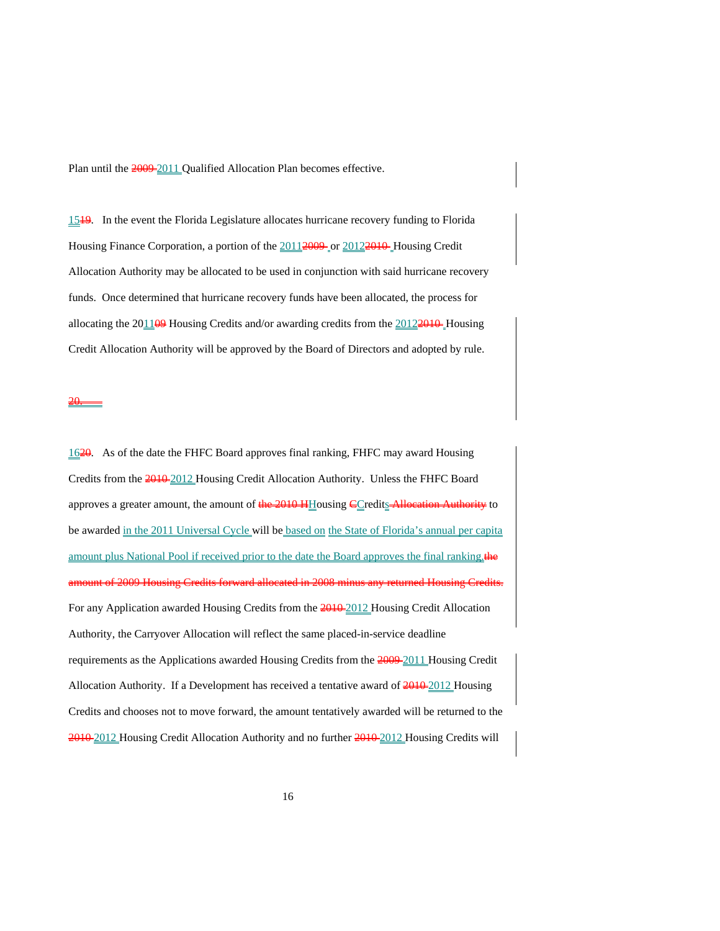Plan until the 2009-2011 Qualified Allocation Plan becomes effective.

1519. In the event the Florida Legislature allocates hurricane recovery funding to Florida Housing Finance Corporation, a portion of the  $20112009$  or  $20122010$  Housing Credit Allocation Authority may be allocated to be used in conjunction with said hurricane recovery funds. Once determined that hurricane recovery funds have been allocated, the process for allocating the  $201109$  Housing Credits and/or awarding credits from the  $20122010$  Housing Credit Allocation Authority will be approved by the Board of Directors and adopted by rule.

20.

1620. As of the date the FHFC Board approves final ranking, FHFC may award Housing Credits from the  $\frac{2010}{2012}$  Housing Credit Allocation Authority. Unless the FHFC Board approves a greater amount, the amount of the 2010 HHousing CCredits Allocation Authority to be awarded in the 2011 Universal Cycle will be based on the State of Florida's annual per capita amount plus National Pool if received prior to the date the Board approves the final ranking. amount of 2009 Housing Credits forward allocated in 2008 minus any returned Housing Credits. For any Application awarded Housing Credits from the 2010-2012 Housing Credit Allocation Authority, the Carryover Allocation will reflect the same placed-in-service deadline requirements as the Applications awarded Housing Credits from the 2009 2011 Housing Credit Allocation Authority. If a Development has received a tentative award of  $2010-2012$  Housing Credits and chooses not to move forward, the amount tentatively awarded will be returned to the 2010-2012 Housing Credit Allocation Authority and no further 2010-2012 Housing Credits will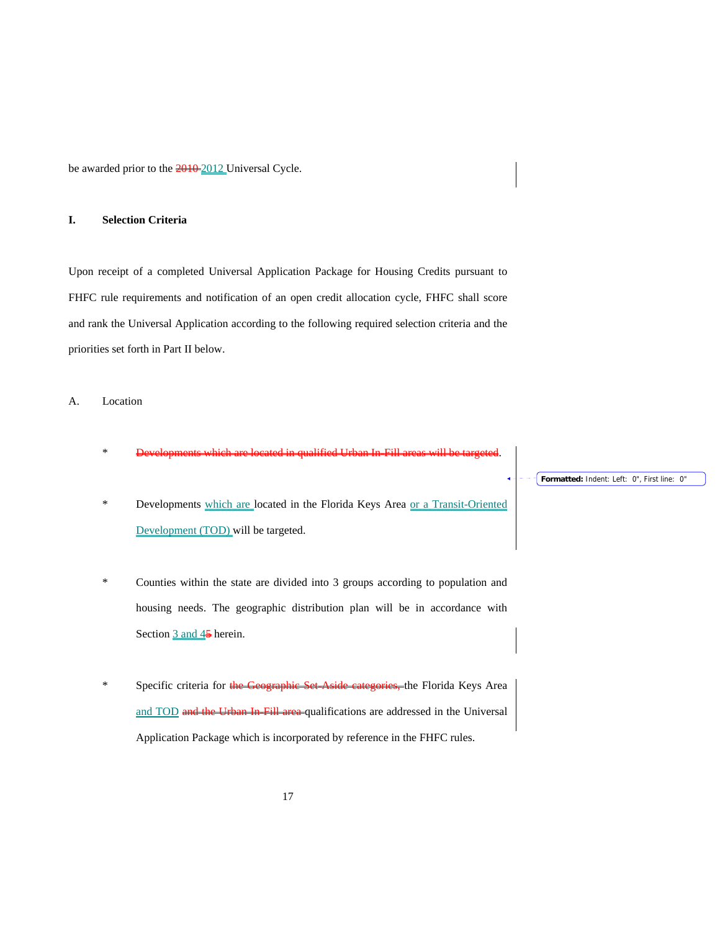be awarded prior to the  $\frac{2010 - 2012}{201}$  Universal Cycle.

## **I. Selection Criteria**

Upon receipt of a completed Universal Application Package for Housing Credits pursuant to FHFC rule requirements and notification of an open credit allocation cycle, FHFC shall score and rank the Universal Application according to the following required selection criteria and the priorities set forth in Part II below.

# A. Location

- \* Developments which are located in qualified Urban In-Fill areas will be targeted.
- \* Developments which are located in the Florida Keys Area or a Transit-Oriented Development (TOD) will be targeted.
- \* Counties within the state are divided into 3 groups according to population and housing needs. The geographic distribution plan will be in accordance with Section  $\frac{3 \text{ and } 45}{9}$  herein.
- \* Specific criteria for the Geographic Set-Aside categories, the Florida Keys Area and TOD and the Urban In-Fill area qualifications are addressed in the Universal Application Package which is incorporated by reference in the FHFC rules.

## **Formatted:** Indent: Left: 0", First line: 0"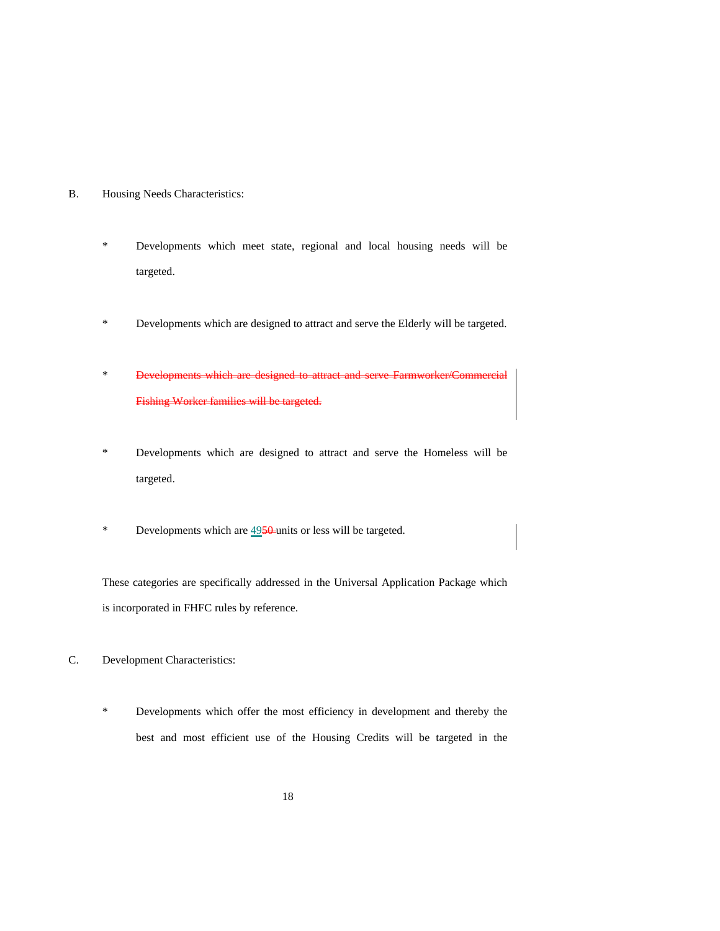- B. Housing Needs Characteristics:
	- \* Developments which meet state, regional and local housing needs will be targeted.
	- \* Developments which are designed to attract and serve the Elderly will be targeted.
	- \* Developments which are designed to attract and serve Farmworker/Commercial Fishing Worker families will be targeted.
	- \* Developments which are designed to attract and serve the Homeless will be targeted.
	- \* Developments which are  $4950$  units or less will be targeted.

These categories are specifically addressed in the Universal Application Package which is incorporated in FHFC rules by reference.

- C. Development Characteristics:
	- \* Developments which offer the most efficiency in development and thereby the best and most efficient use of the Housing Credits will be targeted in the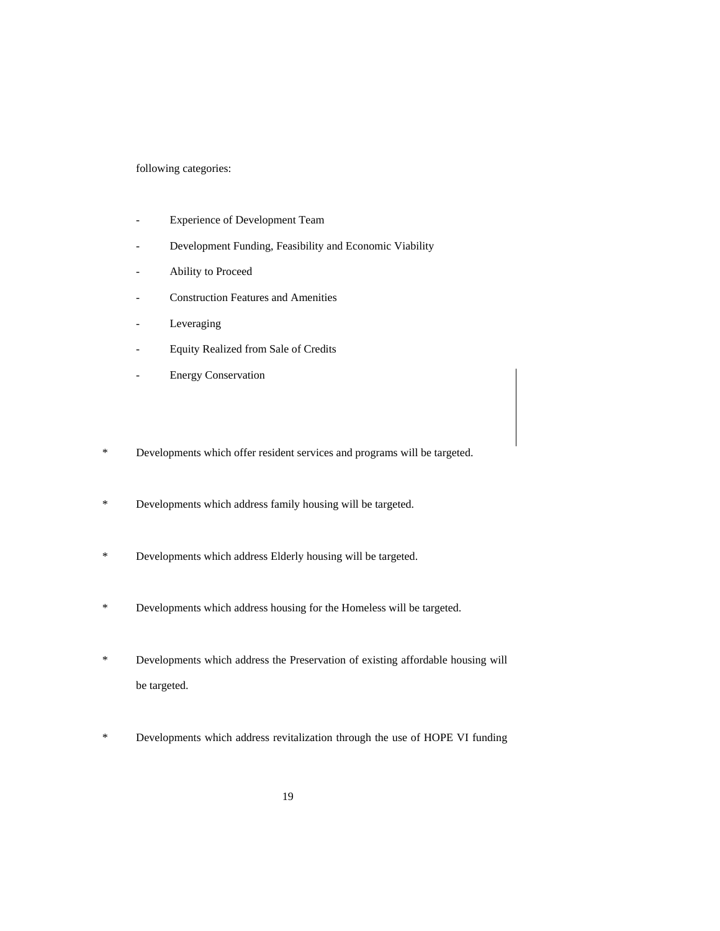following categories:

- Experience of Development Team
- Development Funding, Feasibility and Economic Viability
- Ability to Proceed
- Construction Features and Amenities
- Leveraging
- Equity Realized from Sale of Credits
- **Energy Conservation**
- \* Developments which offer resident services and programs will be targeted.
- \* Developments which address family housing will be targeted.
- \* Developments which address Elderly housing will be targeted.
- \* Developments which address housing for the Homeless will be targeted.
- \* Developments which address the Preservation of existing affordable housing will be targeted.
- \* Developments which address revitalization through the use of HOPE VI funding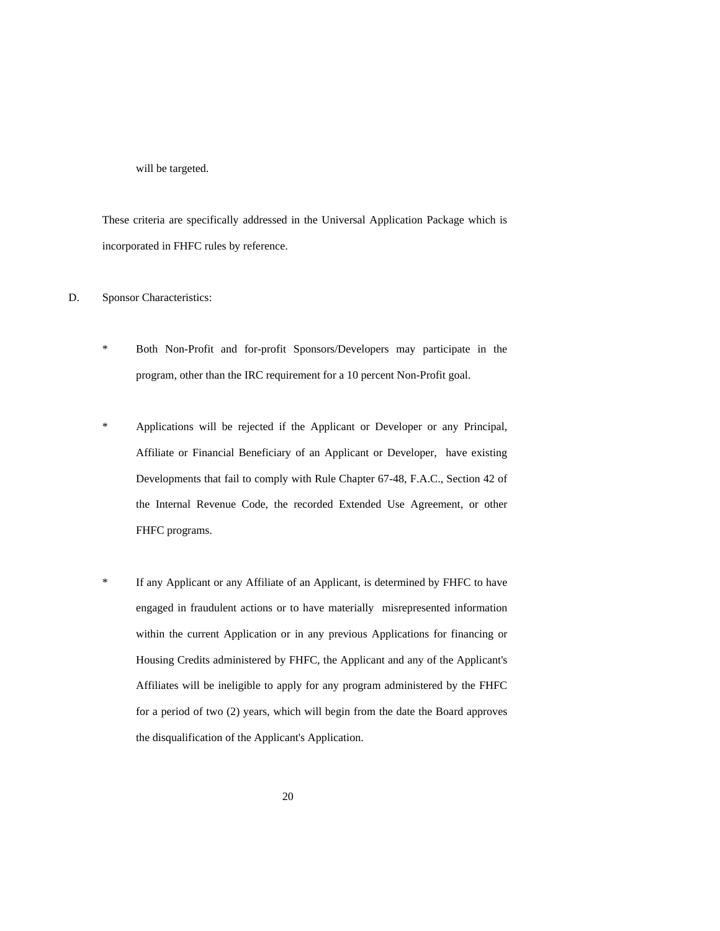will be targeted.

These criteria are specifically addressed in the Universal Application Package which is incorporated in FHFC rules by reference.

D. Sponsor Characteristics:

- \* Both Non-Profit and for-profit Sponsors/Developers may participate in the program, other than the IRC requirement for a 10 percent Non-Profit goal.
- \* Applications will be rejected if the Applicant or Developer or any Principal, Affiliate or Financial Beneficiary of an Applicant or Developer, have existing Developments that fail to comply with Rule Chapter 67-48, F.A.C., Section 42 of the Internal Revenue Code, the recorded Extended Use Agreement, or other FHFC programs.
- \* If any Applicant or any Affiliate of an Applicant, is determined by FHFC to have engaged in fraudulent actions or to have materially misrepresented information within the current Application or in any previous Applications for financing or Housing Credits administered by FHFC, the Applicant and any of the Applicant's Affiliates will be ineligible to apply for any program administered by the FHFC for a period of two (2) years, which will begin from the date the Board approves the disqualification of the Applicant's Application.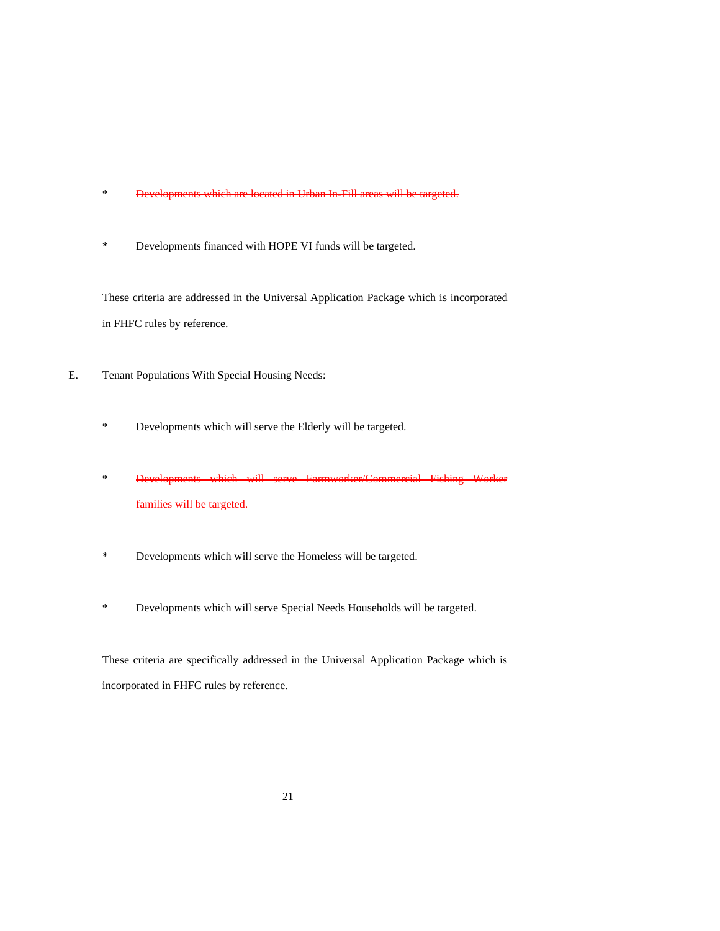- \* Developments which are located in Urban In-Fill areas will be targeted.
- \* Developments financed with HOPE VI funds will be targeted.

These criteria are addressed in the Universal Application Package which is incorporated in FHFC rules by reference.

- E. Tenant Populations With Special Housing Needs:
	- \* Developments which will serve the Elderly will be targeted.
	- \* Developments which will serve Farmworker/Commercial Fishing Worker s will be ta
	- \* Developments which will serve the Homeless will be targeted.
	- \* Developments which will serve Special Needs Households will be targeted.

These criteria are specifically addressed in the Universal Application Package which is incorporated in FHFC rules by reference.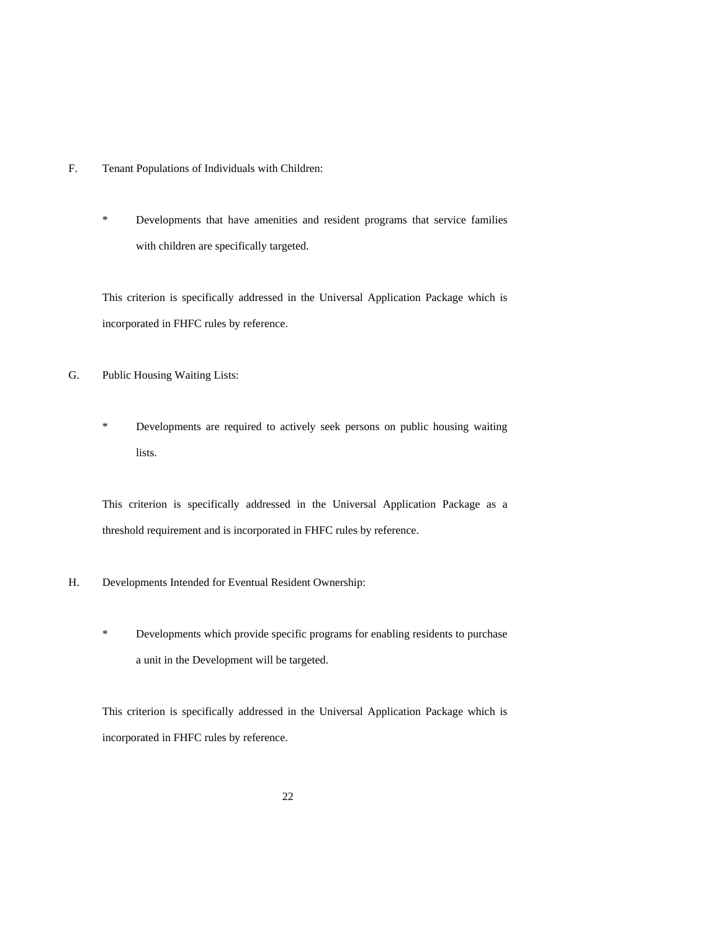- F. Tenant Populations of Individuals with Children:
	- \* Developments that have amenities and resident programs that service families with children are specifically targeted.

This criterion is specifically addressed in the Universal Application Package which is incorporated in FHFC rules by reference.

- G. Public Housing Waiting Lists:
	- \* Developments are required to actively seek persons on public housing waiting lists.

This criterion is specifically addressed in the Universal Application Package as a threshold requirement and is incorporated in FHFC rules by reference.

- H. Developments Intended for Eventual Resident Ownership:
	- \* Developments which provide specific programs for enabling residents to purchase a unit in the Development will be targeted.

This criterion is specifically addressed in the Universal Application Package which is incorporated in FHFC rules by reference.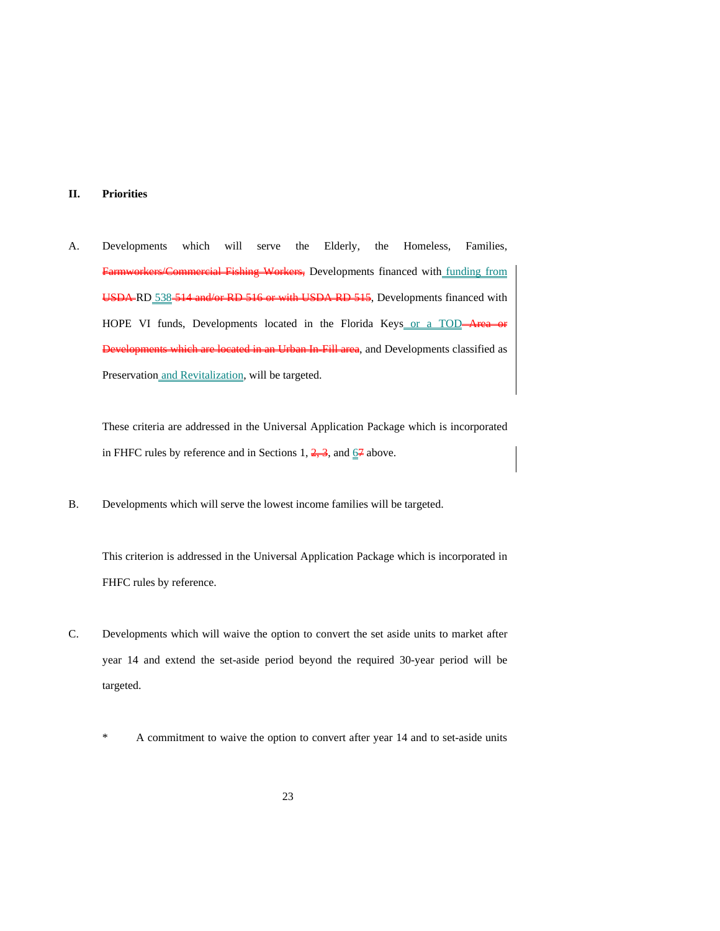# **II. Priorities**

A. Developments which will serve the Elderly, the Homeless, Families, Fishing Workers, Developments financed with funding from USDA-RD 538-514 and/or RD 516 or with USDA RD 515, Developments financed with HOPE VI funds, Developments located in the Florida Keys or a TOD-Area Urban In-Fill area, and Developments classified as Preservation and Revitalization, will be targeted.

These criteria are addressed in the Universal Application Package which is incorporated in FHFC rules by reference and in Sections 1,  $\frac{2}{7}$ , and  $\frac{6}{7}$  above.

B. Developments which will serve the lowest income families will be targeted.

This criterion is addressed in the Universal Application Package which is incorporated in FHFC rules by reference.

- C. Developments which will waive the option to convert the set aside units to market after year 14 and extend the set-aside period beyond the required 30-year period will be targeted.
	- \* A commitment to waive the option to convert after year 14 and to set-aside units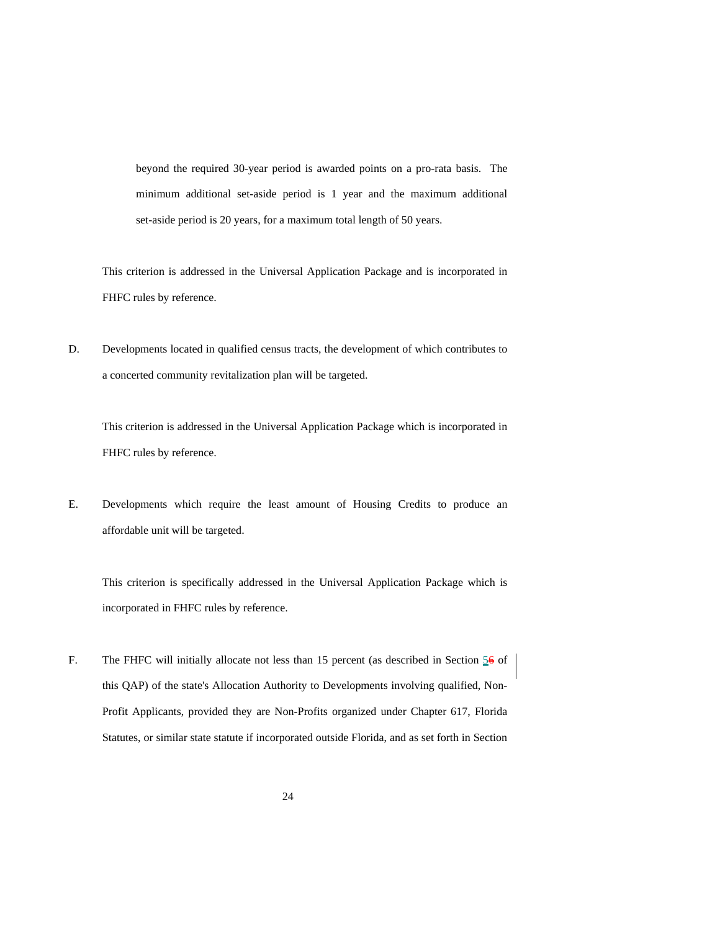beyond the required 30-year period is awarded points on a pro-rata basis. The minimum additional set-aside period is 1 year and the maximum additional set-aside period is 20 years, for a maximum total length of 50 years.

This criterion is addressed in the Universal Application Package and is incorporated in FHFC rules by reference.

D. Developments located in qualified census tracts, the development of which contributes to a concerted community revitalization plan will be targeted.

This criterion is addressed in the Universal Application Package which is incorporated in FHFC rules by reference.

E. Developments which require the least amount of Housing Credits to produce an affordable unit will be targeted.

This criterion is specifically addressed in the Universal Application Package which is incorporated in FHFC rules by reference.

F. The FHFC will initially allocate not less than 15 percent (as described in Section  $\frac{56}{9}$  of this QAP) of the state's Allocation Authority to Developments involving qualified, Non-Profit Applicants, provided they are Non-Profits organized under Chapter 617, Florida Statutes, or similar state statute if incorporated outside Florida, and as set forth in Section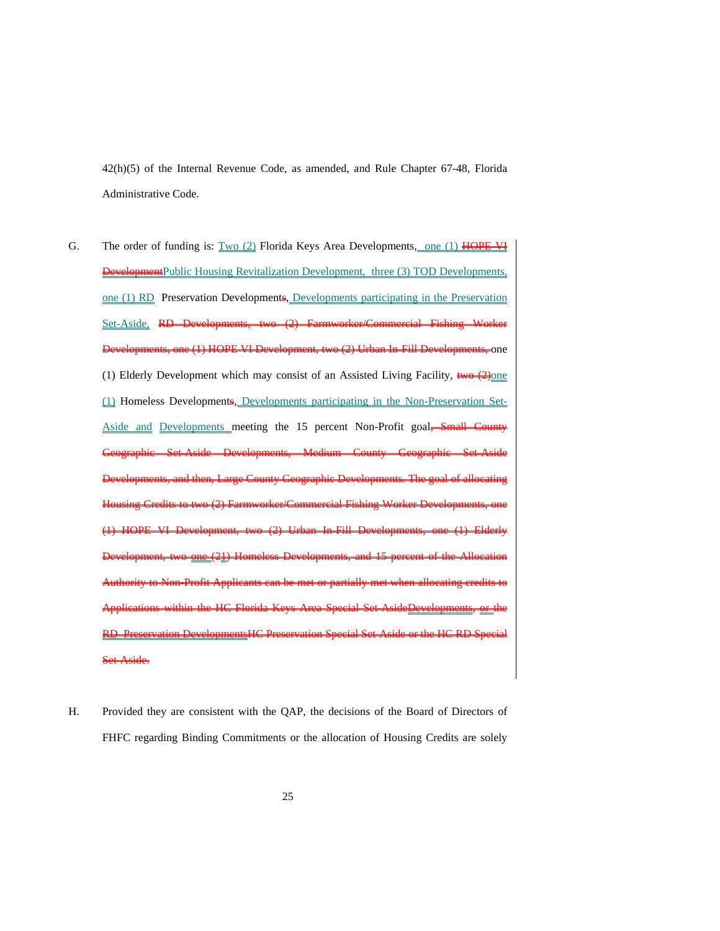42(h)(5) of the Internal Revenue Code, as amended, and Rule Chapter 67-48, Florida Administrative Code.

- G. The order of funding is:  $Two (2)$  Florida Keys Area Developments, one (1) HOPE VI **Development**Public Housing Revitalization Development, three (3) TOD Developments, one (1) RD Preservation Developments, Developments participating in the Preservation Set-Aside, RD (2) Urban In-Fill Developments, one (1) Elderly Development which may consist of an Assisted Living Facility,  $\frac{1}{2}$   $\frac{1}{2}$   $\frac{1}{2}$ (1) Homeless Developments, Developments participating in the Non-Preservation Set-Aside and Developments meeting the 15 percent Non-Profit goal, Small County Geographic Set-Aside Developments, Medium County Geographic Set-Aside Developments, and then, Large County Geographic Developments. The goal of allocating Housing Credits to two (2) Farmworker/Commercial Fishing Worker Developments, one (1) HOPE VI Development, two (2) Urban In-Fill Developments, one (1) Elderly Development, two one (21) Homeless Developments, and 15 percent of the Allocation Authority to Non-Profit Applicants can be met or partially met when allocating credits to Applications within the HC Florida Keys Area Special Set-AsideDevelopments, or the RD Preservation DevelopmentsHC Preservation Special Set-Aside or the HC RD Special Aside.
- H. Provided they are consistent with the QAP, the decisions of the Board of Directors of FHFC regarding Binding Commitments or the allocation of Housing Credits are solely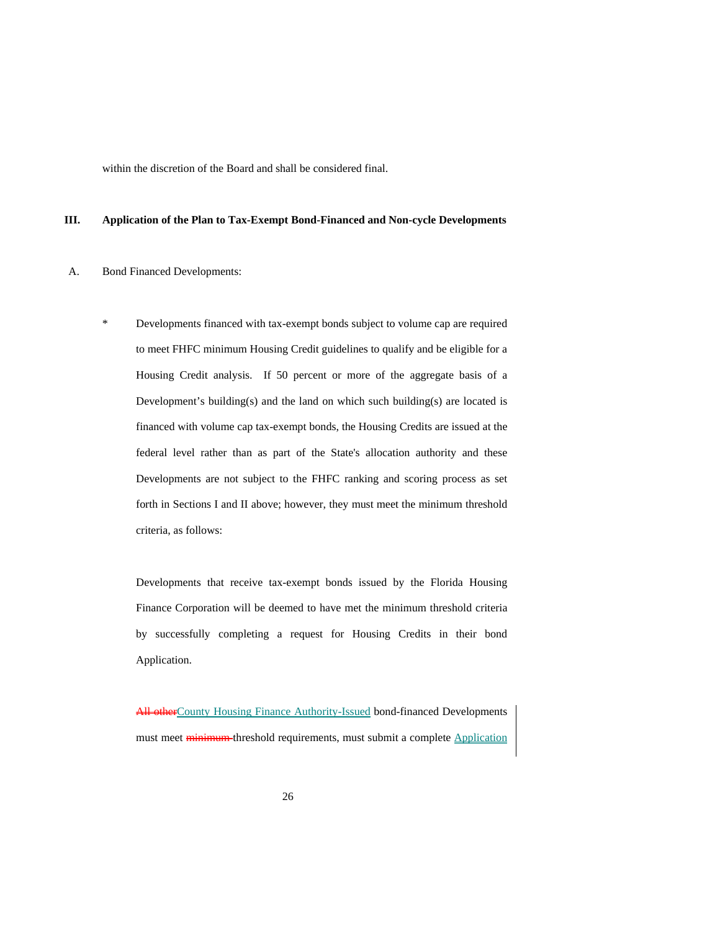within the discretion of the Board and shall be considered final.

## **III. Application of the Plan to Tax-Exempt Bond-Financed and Non-cycle Developments**

## A. Bond Financed Developments:

\* Developments financed with tax-exempt bonds subject to volume cap are required to meet FHFC minimum Housing Credit guidelines to qualify and be eligible for a Housing Credit analysis. If 50 percent or more of the aggregate basis of a Development's building(s) and the land on which such building(s) are located is financed with volume cap tax-exempt bonds, the Housing Credits are issued at the federal level rather than as part of the State's allocation authority and these Developments are not subject to the FHFC ranking and scoring process as set forth in Sections I and II above; however, they must meet the minimum threshold criteria, as follows:

Developments that receive tax-exempt bonds issued by the Florida Housing Finance Corporation will be deemed to have met the minimum threshold criteria by successfully completing a request for Housing Credits in their bond Application.

All otherCounty Housing Finance Authority-Issued bond-financed Developments must meet **minimum** threshold requirements, must submit a complete **Application**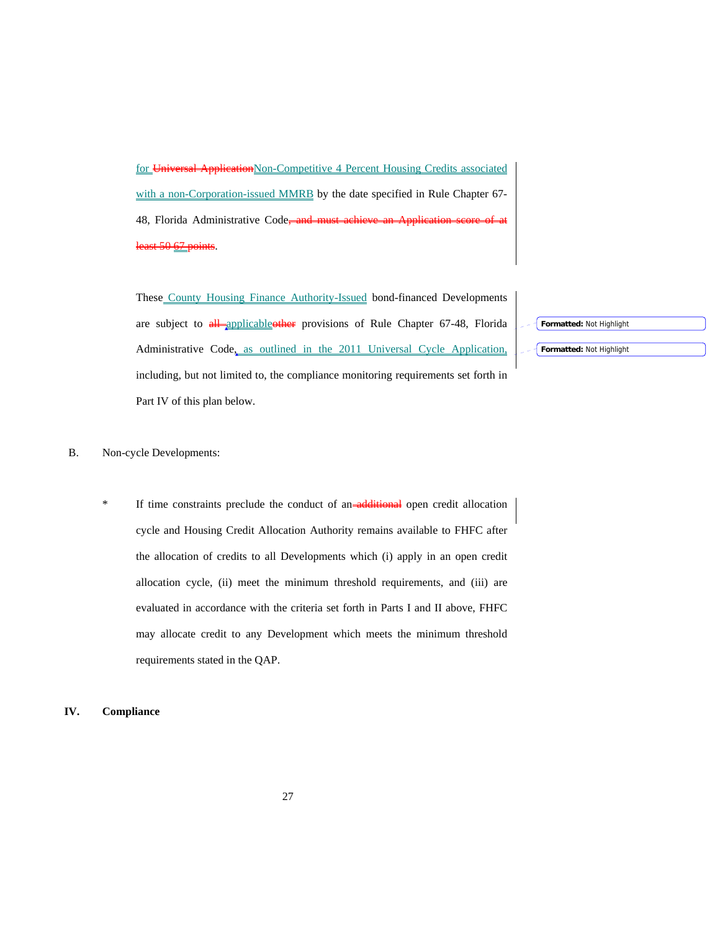for Universal Application Non-Competitive 4 Percent Housing Credits associated with a non-Corporation-issued MMRB by the date specified in Rule Chapter 67-48, Florida Administrative Code, least 50 67 points.

These County Housing Finance Authority-Issued bond-financed Developments are subject to all applicableother provisions of Rule Chapter 67-48, Florida Administrative Code, as outlined in the 2011 Universal Cycle Application, including, but not limited to, the compliance monitoring requirements set forth in Part IV of this plan below.

**Formatted:** Not Highlight

#### **Formatted:** Not Highlight

# B. Non-cycle Developments:

If time constraints preclude the conduct of an-additional open credit allocation cycle and Housing Credit Allocation Authority remains available to FHFC after the allocation of credits to all Developments which (i) apply in an open credit allocation cycle, (ii) meet the minimum threshold requirements, and (iii) are evaluated in accordance with the criteria set forth in Parts I and II above, FHFC may allocate credit to any Development which meets the minimum threshold requirements stated in the QAP.

# **IV. Compliance**